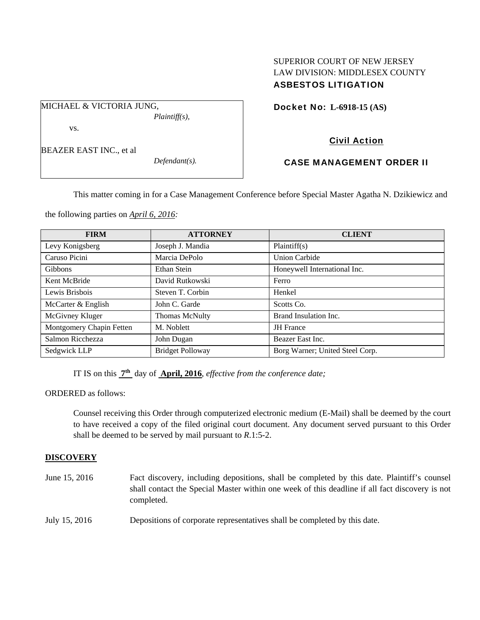# SUPERIOR COURT OF NEW JERSEY LAW DIVISION: MIDDLESEX COUNTY ASBESTOS LITIGATION

Docket No: **L-6918-15 (AS)** 

vs.

BEAZER EAST INC., et al

MICHAEL & VICTORIA JUNG,

*Defendant(s).* 

*Plaintiff(s),* 

# Civil Action

# CASE MANAGEMENT ORDER II

This matter coming in for a Case Management Conference before Special Master Agatha N. Dzikiewicz and

the following parties on *April 6, 2016:* 

| <b>FIRM</b>              | <b>ATTORNEY</b>         | <b>CLIENT</b>                   |
|--------------------------|-------------------------|---------------------------------|
| Levy Konigsberg          | Joseph J. Mandia        | Plaintiff(s)                    |
| Caruso Picini            | Marcia DePolo           | <b>Union Carbide</b>            |
| <b>Gibbons</b>           | Ethan Stein             | Honeywell International Inc.    |
| Kent McBride             | David Rutkowski         | Ferro                           |
| Lewis Brisbois           | Steven T. Corbin        | Henkel                          |
| McCarter & English       | John C. Garde           | Scotts Co.                      |
| McGivney Kluger          | Thomas McNulty          | Brand Insulation Inc.           |
| Montgomery Chapin Fetten | M. Noblett              | <b>JH</b> France                |
| Salmon Ricchezza         | John Dugan              | Beazer East Inc.                |
| Sedgwick LLP             | <b>Bridget Polloway</b> | Borg Warner; United Steel Corp. |

IT IS on this **7th** day of **April, 2016**, *effective from the conference date;*

ORDERED as follows:

Counsel receiving this Order through computerized electronic medium (E-Mail) shall be deemed by the court to have received a copy of the filed original court document. Any document served pursuant to this Order shall be deemed to be served by mail pursuant to *R*.1:5-2.

## **DISCOVERY**

| June 15, 2016 | Fact discovery, including depositions, shall be completed by this date. Plaintiff's counsel<br>shall contact the Special Master within one week of this deadline if all fact discovery is not<br>completed. |
|---------------|-------------------------------------------------------------------------------------------------------------------------------------------------------------------------------------------------------------|
| July 15, 2016 | Depositions of corporate representatives shall be completed by this date.                                                                                                                                   |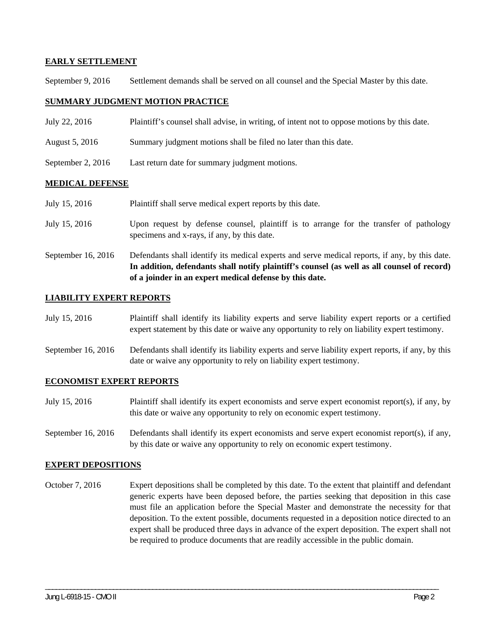## **EARLY SETTLEMENT**

September 9, 2016 Settlement demands shall be served on all counsel and the Special Master by this date.

## **SUMMARY JUDGMENT MOTION PRACTICE**

- July 22, 2016 Plaintiff's counsel shall advise, in writing, of intent not to oppose motions by this date.
- August 5, 2016 Summary judgment motions shall be filed no later than this date.
- September 2, 2016 Last return date for summary judgment motions.

#### **MEDICAL DEFENSE**

- July 15, 2016 Plaintiff shall serve medical expert reports by this date.
- July 15, 2016 Upon request by defense counsel, plaintiff is to arrange for the transfer of pathology specimens and x-rays, if any, by this date.
- September 16, 2016 Defendants shall identify its medical experts and serve medical reports, if any, by this date. **In addition, defendants shall notify plaintiff's counsel (as well as all counsel of record) of a joinder in an expert medical defense by this date.**

#### **LIABILITY EXPERT REPORTS**

- July 15, 2016 Plaintiff shall identify its liability experts and serve liability expert reports or a certified expert statement by this date or waive any opportunity to rely on liability expert testimony.
- September 16, 2016 Defendants shall identify its liability experts and serve liability expert reports, if any, by this date or waive any opportunity to rely on liability expert testimony.

#### **ECONOMIST EXPERT REPORTS**

- July 15, 2016 Plaintiff shall identify its expert economists and serve expert economist report(s), if any, by this date or waive any opportunity to rely on economic expert testimony.
- September 16, 2016 Defendants shall identify its expert economists and serve expert economist report(s), if any, by this date or waive any opportunity to rely on economic expert testimony.

#### **EXPERT DEPOSITIONS**

October 7, 2016 Expert depositions shall be completed by this date. To the extent that plaintiff and defendant generic experts have been deposed before, the parties seeking that deposition in this case must file an application before the Special Master and demonstrate the necessity for that deposition. To the extent possible, documents requested in a deposition notice directed to an expert shall be produced three days in advance of the expert deposition. The expert shall not be required to produce documents that are readily accessible in the public domain.

\_\_\_\_\_\_\_\_\_\_\_\_\_\_\_\_\_\_\_\_\_\_\_\_\_\_\_\_\_\_\_\_\_\_\_\_\_\_\_\_\_\_\_\_\_\_\_\_\_\_\_\_\_\_\_\_\_\_\_\_\_\_\_\_\_\_\_\_\_\_\_\_\_\_\_\_\_\_\_\_\_\_\_\_\_\_\_\_\_\_\_\_\_\_\_\_\_\_\_\_\_\_\_\_\_\_\_\_\_\_